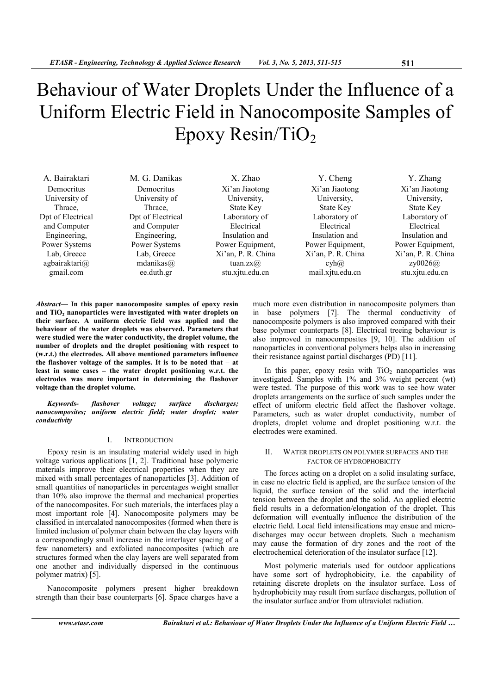# Behaviour of Water Droplets Under the Influence of a Uniform Electric Field in Nanocomposite Samples of Epoxy Resin/TiO<sub>2</sub>

| A. Bairaktari         | M. G. Danikas     | X. Zhao            | Y. Cheng           | Y. Zhang           |
|-----------------------|-------------------|--------------------|--------------------|--------------------|
| Democritus            | Democritus        | Xi'an Jiaotong     | Xi'an Jiaotong     | Xi'an Jiaotong     |
| University of         | University of     | University,        | University,        | University,        |
| Thrace.               | Thrace,           | State Key          | State Key          | State Key          |
| Dpt of Electrical     | Dpt of Electrical | Laboratory of      | Laboratory of      | Laboratory of      |
| and Computer          | and Computer      | Electrical         | Electrical         | Electrical         |
| Engineering,          | Engineering,      | Insulation and     | Insulation and     | Insulation and     |
| Power Systems         | Power Systems     | Power Equipment,   | Power Equipment,   | Power Equipment,   |
| Lab, Greece           | Lab, Greece       | Xi'an, P. R. China | Xi'an, P. R. China | Xi'an, P. R. China |
| agbairaktari $\omega$ | mdanikas $\omega$ | tuan.zx $(a)$      | $\cosh(a)$         | zv0026@            |
| gmail.com             | ee.duth.gr        | stu.xitu.edu.cn    | mail.xitu.edu.cn   | stu.xitu.edu.cn    |

*Abstract***— In this paper nanocomposite samples of epoxy resin and TiO<sup>2</sup> nanoparticles were investigated with water droplets on their surface. A uniform electric field was applied and the behaviour of the water droplets was observed. Parameters that were studied were the water conductivity, the droplet volume, the number of droplets and the droplet positioning with respect to (w.r.t.) the electrodes. All above mentioned parameters influence the flashover voltage of the samples. It is to be noted that – at least in some cases – the water droplet positioning w.r.t. the electrodes was more important in determining the flashover voltage than the droplet volume.** 

*Keywords- flashover voltage; surface discharges; nanocomposites; uniform electric field; water droplet; water conductivity* 

## I. INTRODUCTION

Epoxy resin is an insulating material widely used in high voltage various applications [1, 2]. Traditional base polymeric materials improve their electrical properties when they are mixed with small percentages of nanoparticles [3]. Addition of small quantities of nanoparticles in percentages weight smaller than 10% also improve the thermal and mechanical properties of the nanocomposites. For such materials, the interfaces play a most important role [4]. Nanocomposite polymers may be classified in intercalated nanocomposites (formed when there is limited inclusion of polymer chain between the clay layers with a correspondingly small increase in the interlayer spacing of a few nanometers) and exfoliated nanocomposites (which are structures formed when the clay layers are well separated from one another and individually dispersed in the continuous polymer matrix) [5].

Nanocomposite polymers present higher breakdown strength than their base counterparts [6]. Space charges have a much more even distribution in nanocomposite polymers than in base polymers [7]. The thermal conductivity of nanocomposite polymers is also improved compared with their base polymer counterparts [8]. Electrical treeing behaviour is also improved in nanocomposites [9, 10]. The addition of nanoparticles in conventional polymers helps also in increasing their resistance against partial discharges (PD) [11].

In this paper, epoxy resin with  $TiO<sub>2</sub>$  nanoparticles was investigated. Samples with 1% and 3% weight percent (wt) were tested. The purpose of this work was to see how water droplets arrangements on the surface of such samples under the effect of uniform electric field affect the flashover voltage. Parameters, such as water droplet conductivity, number of droplets, droplet volume and droplet positioning w.r.t. the electrodes were examined.

## II. WATER DROPLETS ON POLYMER SURFACES AND THE FACTOR OF HYDROPHOBICITY

The forces acting on a droplet on a solid insulating surface, in case no electric field is applied, are the surface tension of the liquid, the surface tension of the solid and the interfacial tension between the droplet and the solid. An applied electric field results in a deformation/elongation of the droplet. This deformation will eventually influence the distribution of the electric field. Local field intensifications may ensue and microdischarges may occur between droplets. Such a mechanism may cause the formation of dry zones and the root of the electrochemical deterioration of the insulator surface [12].

Most polymeric materials used for outdoor applications have some sort of hydrophobicity, i.e. the capability of retaining discrete droplets on the insulator surface. Loss of hydrophobicity may result from surface discharges, pollution of the insulator surface and/or from ultraviolet radiation.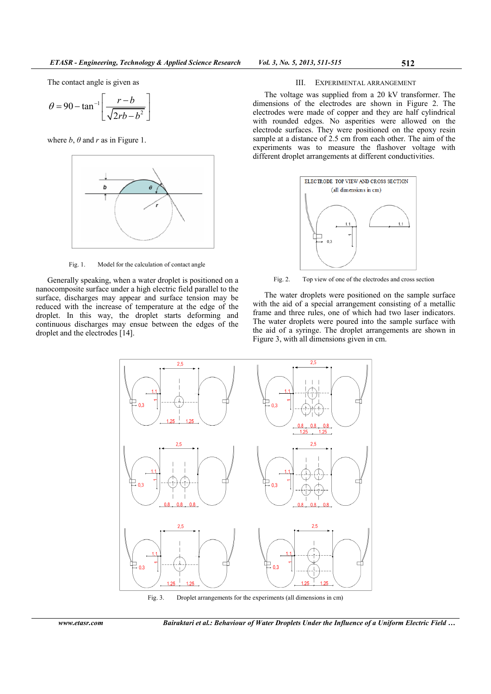The contact angle is given as

$$
\theta = 90 - \tan^{-1} \left[ \frac{r - b}{\sqrt{2rb - b^2}} \right]
$$

where  $b$ ,  $\theta$  and  $r$  as in Figure 1.



Fig. 1. Model for the calculation of contact angle

Generally speaking, when a water droplet is positioned on a nanocomposite surface under a high electric field parallel to the surface, discharges may appear and surface tension may be reduced with the increase of temperature at the edge of the droplet. In this way, the droplet starts deforming and continuous discharges may ensue between the edges of the droplet and the electrodes [14].

#### III. EXPERIMENTAL ARRANGEMENT

The voltage was supplied from a 20 kV transformer. The dimensions of the electrodes are shown in Figure 2. The electrodes were made of copper and they are half cylindrical with rounded edges. No asperities were allowed on the electrode surfaces. They were positioned on the epoxy resin sample at a distance of 2.5 cm from each other. The aim of the experiments was to measure the flashover voltage with different droplet arrangements at different conductivities.



Fig. 2. Top view of one of the electrodes and cross section

The water droplets were positioned on the sample surface with the aid of a special arrangement consisting of a metallic frame and three rules, one of which had two laser indicators. The water droplets were poured into the sample surface with the aid of a syringe. The droplet arrangements are shown in Figure 3, with all dimensions given in cm.



Fig. 3. Droplet arrangements for the experiments (all dimensions in cm)

*www.etasr.com Bairaktari et al.: Behaviour of Water Droplets Under the Influence of a Uniform Electric Field …*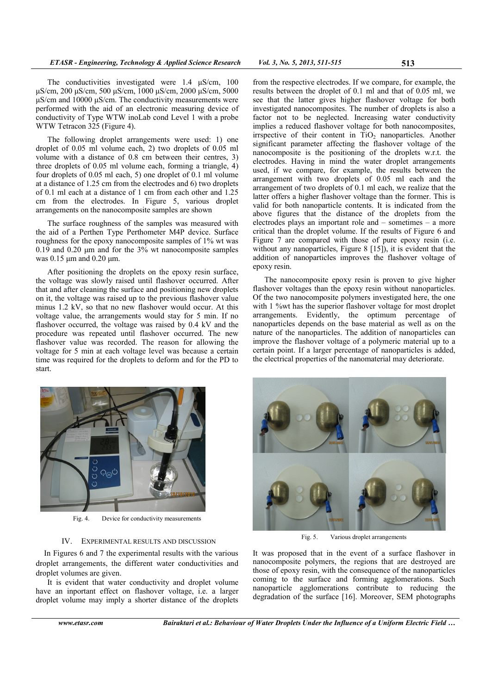The conductivities investigated were  $1.4 \mu S/cm$ ,  $100$ µS/cm, 200 µS/cm, 500 µS/cm, 1000 µS/cm, 2000 µS/cm, 5000 µS/cm and 10000 µS/cm. The conductivity measurements were performed with the aid of an electronic measuring device of conductivity of Type WTW inoLab cond Level 1 with a probe WTW Tetracon 325 (Figure 4).

The following droplet arrangements were used: 1) one droplet of 0.05 ml volume each, 2) two droplets of 0.05 ml volume with a distance of 0.8 cm between their centres, 3) three droplets of 0.05 ml volume each, forming a triangle, 4) four droplets of 0.05 ml each, 5) one droplet of 0.1 ml volume at a distance of 1.25 cm from the electrodes and 6) two droplets of 0.1 ml each at a distance of 1 cm from each other and 1.25 cm from the electrodes. In Figure 5, various droplet arrangements on the nanocomposite samples are shown

The surface roughness of the samples was measured with the aid of a Perthen Type Perthometer M4P device. Surface roughness for the epoxy nanocomposite samples of 1% wt was 0.19 and 0.20  $\mu$ m and for the  $3\%$  wt nanocomposite samples was 0.15 µm and 0.20 µm.

After positioning the droplets on the epoxy resin surface, the voltage was slowly raised until flashover occurred. After that and after cleaning the surface and positioning new droplets on it, the voltage was raised up to the previous flashover value minus 1.2 kV, so that no new flashover would occur. At this voltage value, the arrangements would stay for 5 min. If no flashover occurred, the voltage was raised by 0.4 kV and the procedure was repeated until flashover occurred. The new flashover value was recorded. The reason for allowing the voltage for 5 min at each voltage level was because a certain time was required for the droplets to deform and for the PD to start.

from the respective electrodes. If we compare, for example, the results between the droplet of 0.1 ml and that of 0.05 ml, we see that the latter gives higher flashover voltage for both investigated nanocomposites. The number of droplets is also a factor not to be neglected. Increasing water conductivity implies a reduced flashover voltage for both nanocomposites, irrspective of their content in  $\overline{TiO}_2$  nanoparticles. Another significant parameter affecting the flashover voltage of the nanocomposite is the positioning of the droplets w.r.t. the electrodes. Having in mind the water droplet arrangements used, if we compare, for example, the results between the arrangement with two droplets of 0.05 ml each and the arrangement of two droplets of 0.1 ml each, we realize that the latter offers a higher flashover voltage than the former. This is valid for both nanoparticle contents. It is indicated from the above figures that the distance of the droplets from the electrodes plays an important role and – sometimes – a more critical than the droplet volume. If the results of Figure 6 and Figure 7 are compared with those of pure epoxy resin (i.e. without any nanoparticles, Figure 8 [15]), it is evident that the addition of nanoparticles improves the flashover voltage of epoxy resin.

The nanocomposite epoxy resin is proven to give higher flashover voltages than the epoxy resin without nanoparticles. Of the two nanocomposite polymers investigated here, the one with 1 %wt has the superior flashover voltage for most droplet arrangements. Evidently, the optimum percentage of nanoparticles depends on the base material as well as on the nature of the nanoparticles. The addition of nanoparticles can improve the flashover voltage of a polymeric material up to a certain point. If a larger percentage of nanoparticles is added, the electrical properties of the nanomaterial may deteriorate.



Fig. 4. Device for conductivity measurements

### IV. EXPERIMENTAL RESULTS AND DISCUSSION

In Figures 6 and 7 the experimental results with the various droplet arrangements, the different water conductivities and droplet volumes are given.

It is evident that water conductivity and droplet volume have an inportant effect on flashover voltage, i.e. a larger droplet volume may imply a shorter distance of the droplets



Fig. 5. Various droplet arrangements

It was proposed that in the event of a surface flashover in nanocomposite polymers, the regions that are destroyed are those of epoxy resin, with the consequence of the nanoparticles coming to the surface and forming agglomerations. Such nanoparticle agglomerations contribute to reducing the degradation of the surface [16]. Moreover, SEM photographs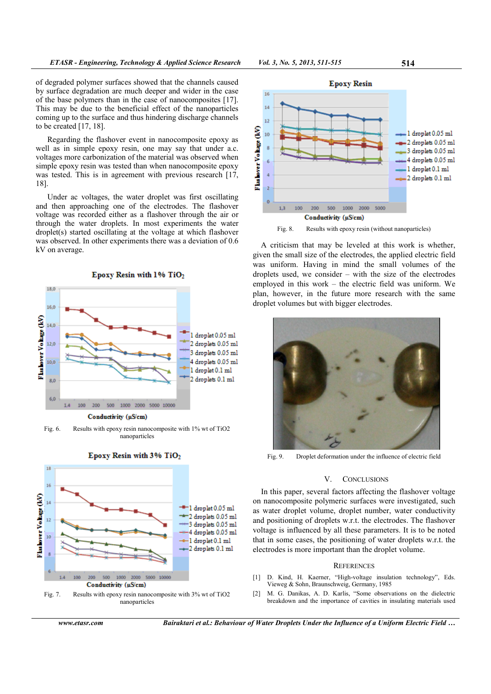of degraded polymer surfaces showed that the channels caused by surface degradation are much deeper and wider in the case of the base polymers than in the case of nanocomposites [17]. This may be due to the beneficial effect of the nanoparticles coming up to the surface and thus hindering discharge channels to be created  $[17, 18]$ .

Regarding the flashover event in nanocomposite epoxy as well as in simple epoxy resin, one may say that under a.c. voltages more carbonization of the material was observed when simple epoxy resin was tested than when nanocomposite epoxy was tested. This is in agreement with previous research [17, 18].

Under ac voltages, the water droplet was first oscillating and then approaching one of the electrodes. The flashover voltage was recorded either as a flashover through the air or through the water droplets. In most experiments the water droplet(s) started oscillating at the voltage at which flashover was observed. In other experiments there was a deviation of 0.6 kV on average.



nanoparticles







Fig. 8. Results with epoxy resin (without nanoparticles)

A criticism that may be leveled at this work is whether, given the small size of the electrodes, the applied electric field was uniform. Having in mind the small volumes of the droplets used, we consider – with the size of the electrodes employed in this work – the electric field was uniform. We plan, however, in the future more research with the same droplet volumes but with bigger electrodes.



Fig. 9. Droplet deformation under the influence of electric field

## V. CONCLUSIONS

In this paper, several factors affecting the flashover voltage on nanocomposite polymeric surfaces were investigated, such as water droplet volume, droplet number, water conductivity and positioning of droplets w.r.t. the electrodes. The flashover voltage is influenced by all these parameters. It is to be noted that in some cases, the positioning of water droplets w.r.t. the electrodes is more important than the droplet volume.

#### **REFERENCES**

- [1] D. Kind, H. Kaerner, "High-voltage insulation technology", Eds. Vieweg & Sohn, Braunschweig, Germany, 1985
- [2] M. G. Danikas, A. D. Karlis, "Some observations on the dielectric breakdown and the importance of cavities in insulating materials used